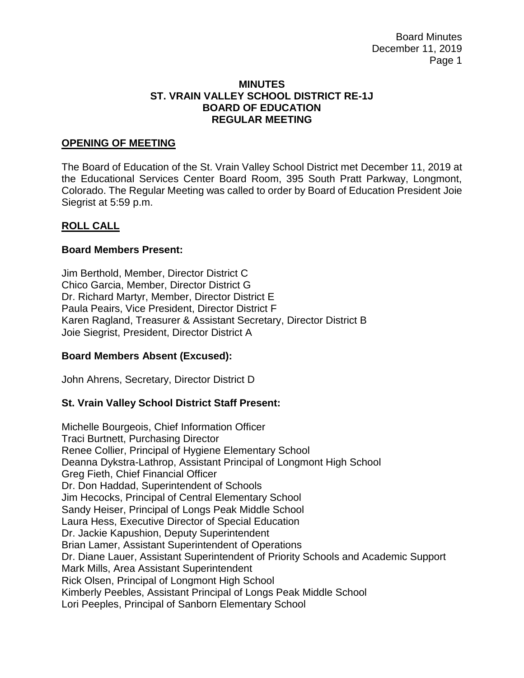Board Minutes December 11, 2019 Page 1

### **MINUTES ST. VRAIN VALLEY SCHOOL DISTRICT RE-1J BOARD OF EDUCATION REGULAR MEETING**

### **OPENING OF MEETING**

The Board of Education of the St. Vrain Valley School District met December 11, 2019 at the Educational Services Center Board Room, 395 South Pratt Parkway, Longmont, Colorado. The Regular Meeting was called to order by Board of Education President Joie Siegrist at 5:59 p.m.

### **ROLL CALL**

### **Board Members Present:**

Jim Berthold, Member, Director District C Chico Garcia, Member, Director District G Dr. Richard Martyr, Member, Director District E Paula Peairs, Vice President, Director District F Karen Ragland, Treasurer & Assistant Secretary, Director District B Joie Siegrist, President, Director District A

## **Board Members Absent (Excused):**

John Ahrens, Secretary, Director District D

#### **St. Vrain Valley School District Staff Present:**

Michelle Bourgeois, Chief Information Officer Traci Burtnett, Purchasing Director Renee Collier, Principal of Hygiene Elementary School Deanna Dykstra-Lathrop, Assistant Principal of Longmont High School Greg Fieth, Chief Financial Officer Dr. Don Haddad, Superintendent of Schools Jim Hecocks, Principal of Central Elementary School Sandy Heiser, Principal of Longs Peak Middle School Laura Hess, Executive Director of Special Education Dr. Jackie Kapushion, Deputy Superintendent Brian Lamer, Assistant Superintendent of Operations Dr. Diane Lauer, Assistant Superintendent of Priority Schools and Academic Support Mark Mills, Area Assistant Superintendent Rick Olsen, Principal of Longmont High School Kimberly Peebles, Assistant Principal of Longs Peak Middle School Lori Peeples, Principal of Sanborn Elementary School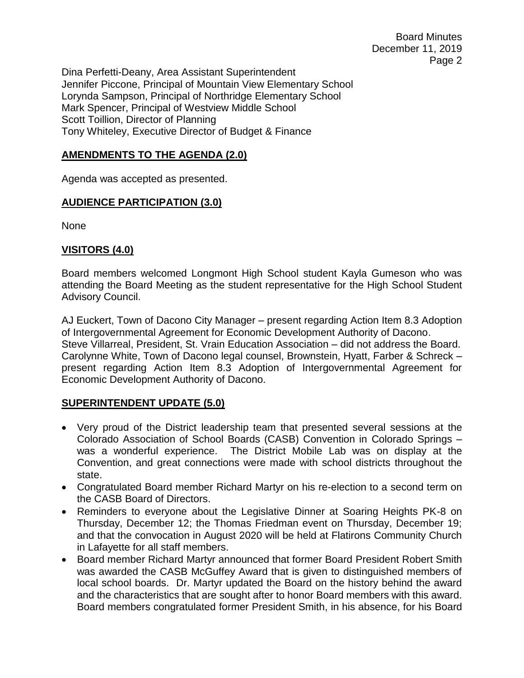Dina Perfetti-Deany, Area Assistant Superintendent Jennifer Piccone, Principal of Mountain View Elementary School Lorynda Sampson, Principal of Northridge Elementary School Mark Spencer, Principal of Westview Middle School Scott Toillion, Director of Planning Tony Whiteley, Executive Director of Budget & Finance

# **AMENDMENTS TO THE AGENDA (2.0)**

Agenda was accepted as presented.

# **AUDIENCE PARTICIPATION (3.0)**

None

# **VISITORS (4.0)**

Board members welcomed Longmont High School student Kayla Gumeson who was attending the Board Meeting as the student representative for the High School Student Advisory Council.

AJ Euckert, Town of Dacono City Manager – present regarding Action Item 8.3 Adoption of Intergovernmental Agreement for Economic Development Authority of Dacono. Steve Villarreal, President, St. Vrain Education Association – did not address the Board. Carolynne White, Town of Dacono legal counsel, Brownstein, Hyatt, Farber & Schreck – present regarding Action Item 8.3 Adoption of Intergovernmental Agreement for Economic Development Authority of Dacono.

## **SUPERINTENDENT UPDATE (5.0)**

- Very proud of the District leadership team that presented several sessions at the Colorado Association of School Boards (CASB) Convention in Colorado Springs – was a wonderful experience. The District Mobile Lab was on display at the Convention, and great connections were made with school districts throughout the state.
- Congratulated Board member Richard Martyr on his re-election to a second term on the CASB Board of Directors.
- Reminders to everyone about the Legislative Dinner at Soaring Heights PK-8 on Thursday, December 12; the Thomas Friedman event on Thursday, December 19; and that the convocation in August 2020 will be held at Flatirons Community Church in Lafayette for all staff members.
- Board member Richard Martyr announced that former Board President Robert Smith was awarded the CASB McGuffey Award that is given to distinguished members of local school boards. Dr. Martyr updated the Board on the history behind the award and the characteristics that are sought after to honor Board members with this award. Board members congratulated former President Smith, in his absence, for his Board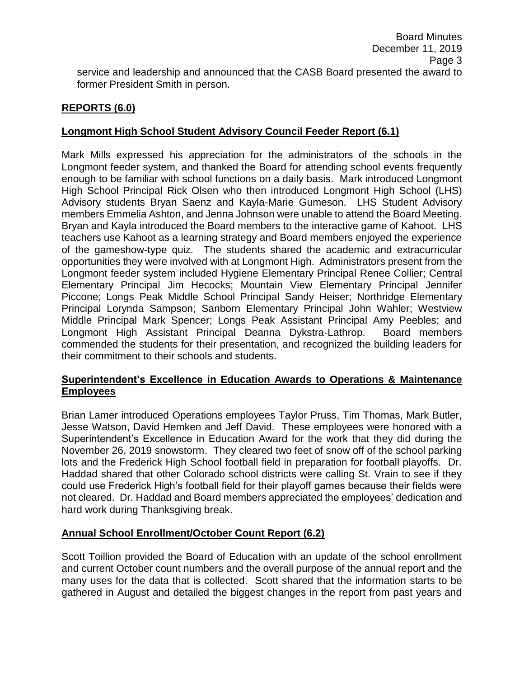# **REPORTS (6.0)**

# **Longmont High School Student Advisory Council Feeder Report (6.1)**

Mark Mills expressed his appreciation for the administrators of the schools in the Longmont feeder system, and thanked the Board for attending school events frequently enough to be familiar with school functions on a daily basis. Mark introduced Longmont High School Principal Rick Olsen who then introduced Longmont High School (LHS) Advisory students Bryan Saenz and Kayla-Marie Gumeson. LHS Student Advisory members Emmelia Ashton, and Jenna Johnson were unable to attend the Board Meeting. Bryan and Kayla introduced the Board members to the interactive game of Kahoot. LHS teachers use Kahoot as a learning strategy and Board members enjoyed the experience of the gameshow-type quiz. The students shared the academic and extracurricular opportunities they were involved with at Longmont High. Administrators present from the Longmont feeder system included Hygiene Elementary Principal Renee Collier; Central Elementary Principal Jim Hecocks; Mountain View Elementary Principal Jennifer Piccone; Longs Peak Middle School Principal Sandy Heiser; Northridge Elementary Principal Lorynda Sampson; Sanborn Elementary Principal John Wahler; Westview Middle Principal Mark Spencer; Longs Peak Assistant Principal Amy Peebles; and Longmont High Assistant Principal Deanna Dykstra-Lathrop. Board members commended the students for their presentation, and recognized the building leaders for their commitment to their schools and students.

# **Superintendent's Excellence in Education Awards to Operations & Maintenance Employees**

Brian Lamer introduced Operations employees Taylor Pruss, Tim Thomas, Mark Butler, Jesse Watson, David Hemken and Jeff David. These employees were honored with a Superintendent's Excellence in Education Award for the work that they did during the November 26, 2019 snowstorm. They cleared two feet of snow off of the school parking lots and the Frederick High School football field in preparation for football playoffs. Dr. Haddad shared that other Colorado school districts were calling St. Vrain to see if they could use Frederick High's football field for their playoff games because their fields were not cleared. Dr. Haddad and Board members appreciated the employees' dedication and hard work during Thanksgiving break.

# **Annual School Enrollment/October Count Report (6.2)**

Scott Toillion provided the Board of Education with an update of the school enrollment and current October count numbers and the overall purpose of the annual report and the many uses for the data that is collected. Scott shared that the information starts to be gathered in August and detailed the biggest changes in the report from past years and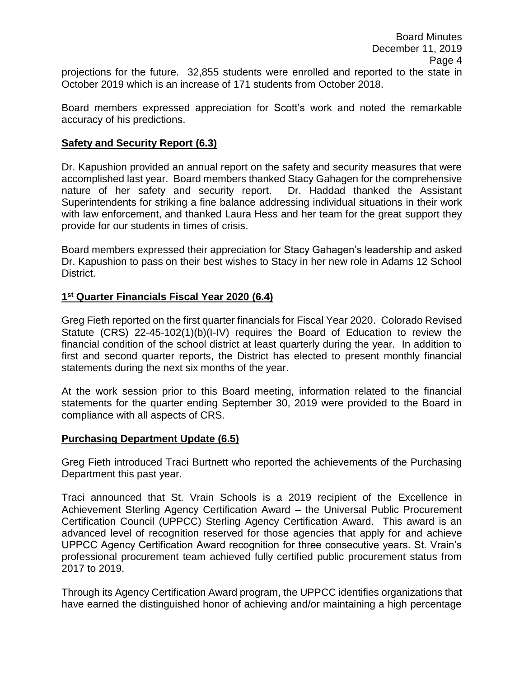projections for the future. 32,855 students were enrolled and reported to the state in October 2019 which is an increase of 171 students from October 2018.

Board members expressed appreciation for Scott's work and noted the remarkable accuracy of his predictions.

### **Safety and Security Report (6.3)**

Dr. Kapushion provided an annual report on the safety and security measures that were accomplished last year. Board members thanked Stacy Gahagen for the comprehensive nature of her safety and security report. Dr. Haddad thanked the Assistant Superintendents for striking a fine balance addressing individual situations in their work with law enforcement, and thanked Laura Hess and her team for the great support they provide for our students in times of crisis.

Board members expressed their appreciation for Stacy Gahagen's leadership and asked Dr. Kapushion to pass on their best wishes to Stacy in her new role in Adams 12 School District.

### **1 st Quarter Financials Fiscal Year 2020 (6.4)**

Greg Fieth reported on the first quarter financials for Fiscal Year 2020. Colorado Revised Statute (CRS) 22-45-102(1)(b)(I-IV) requires the Board of Education to review the financial condition of the school district at least quarterly during the year. In addition to first and second quarter reports, the District has elected to present monthly financial statements during the next six months of the year.

At the work session prior to this Board meeting, information related to the financial statements for the quarter ending September 30, 2019 were provided to the Board in compliance with all aspects of CRS.

#### **Purchasing Department Update (6.5)**

Greg Fieth introduced Traci Burtnett who reported the achievements of the Purchasing Department this past year.

Traci announced that St. Vrain Schools is a 2019 recipient of the Excellence in Achievement Sterling Agency Certification Award – the Universal Public Procurement Certification Council (UPPCC) Sterling Agency Certification Award. This award is an advanced level of recognition reserved for those agencies that apply for and achieve UPPCC Agency Certification Award recognition for three consecutive years. St. Vrain's professional procurement team achieved fully certified public procurement status from 2017 to 2019.

Through its Agency Certification Award program, the UPPCC identifies organizations that have earned the distinguished honor of achieving and/or maintaining a high percentage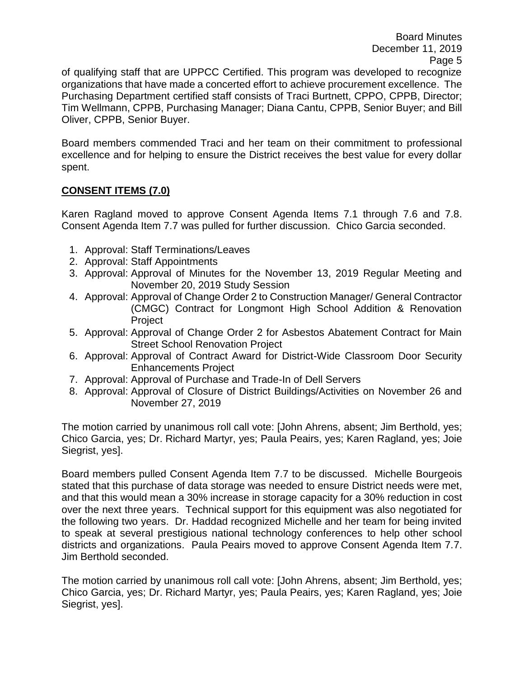Board Minutes December 11, 2019 Page 5

of qualifying staff that are UPPCC Certified. This program was developed to recognize organizations that have made a concerted effort to achieve procurement excellence. The Purchasing Department certified staff consists of Traci Burtnett, CPPO, CPPB, Director; Tim Wellmann, CPPB, Purchasing Manager; Diana Cantu, CPPB, Senior Buyer; and Bill Oliver, CPPB, Senior Buyer.

Board members commended Traci and her team on their commitment to professional excellence and for helping to ensure the District receives the best value for every dollar spent.

# **CONSENT ITEMS (7.0)**

Karen Ragland moved to approve Consent Agenda Items 7.1 through 7.6 and 7.8. Consent Agenda Item 7.7 was pulled for further discussion. Chico Garcia seconded.

- 1. Approval: Staff Terminations/Leaves
- 2. Approval: Staff Appointments
- 3. Approval: Approval of Minutes for the November 13, 2019 Regular Meeting and November 20, 2019 Study Session
- 4. Approval: Approval of Change Order 2 to Construction Manager/ General Contractor (CMGC) Contract for Longmont High School Addition & Renovation Project
- 5. Approval: Approval of Change Order 2 for Asbestos Abatement Contract for Main Street School Renovation Project
- 6. Approval: Approval of Contract Award for District-Wide Classroom Door Security Enhancements Project
- 7. Approval: Approval of Purchase and Trade-In of Dell Servers
- 8. Approval: Approval of Closure of District Buildings/Activities on November 26 and November 27, 2019

The motion carried by unanimous roll call vote: [John Ahrens, absent; Jim Berthold, yes; Chico Garcia, yes; Dr. Richard Martyr, yes; Paula Peairs, yes; Karen Ragland, yes; Joie Siegrist, yes].

Board members pulled Consent Agenda Item 7.7 to be discussed. Michelle Bourgeois stated that this purchase of data storage was needed to ensure District needs were met, and that this would mean a 30% increase in storage capacity for a 30% reduction in cost over the next three years. Technical support for this equipment was also negotiated for the following two years. Dr. Haddad recognized Michelle and her team for being invited to speak at several prestigious national technology conferences to help other school districts and organizations. Paula Peairs moved to approve Consent Agenda Item 7.7. Jim Berthold seconded.

The motion carried by unanimous roll call vote: [John Ahrens, absent; Jim Berthold, yes; Chico Garcia, yes; Dr. Richard Martyr, yes; Paula Peairs, yes; Karen Ragland, yes; Joie Siegrist, yes].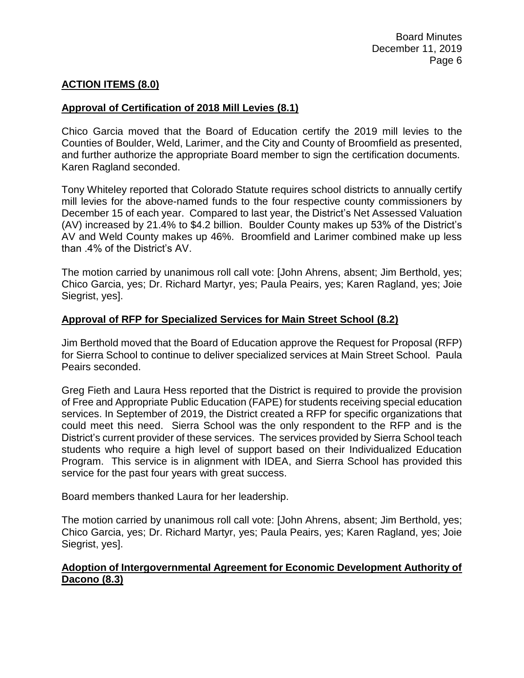# **ACTION ITEMS (8.0)**

### **Approval of Certification of 2018 Mill Levies (8.1)**

Chico Garcia moved that the Board of Education certify the 2019 mill levies to the Counties of Boulder, Weld, Larimer, and the City and County of Broomfield as presented, and further authorize the appropriate Board member to sign the certification documents. Karen Ragland seconded.

Tony Whiteley reported that Colorado Statute requires school districts to annually certify mill levies for the above-named funds to the four respective county commissioners by December 15 of each year. Compared to last year, the District's Net Assessed Valuation (AV) increased by 21.4% to \$4.2 billion. Boulder County makes up 53% of the District's AV and Weld County makes up 46%. Broomfield and Larimer combined make up less than .4% of the District's AV.

The motion carried by unanimous roll call vote: [John Ahrens, absent; Jim Berthold, yes; Chico Garcia, yes; Dr. Richard Martyr, yes; Paula Peairs, yes; Karen Ragland, yes; Joie Siegrist, yes].

### **Approval of RFP for Specialized Services for Main Street School (8.2)**

Jim Berthold moved that the Board of Education approve the Request for Proposal (RFP) for Sierra School to continue to deliver specialized services at Main Street School. Paula Peairs seconded.

Greg Fieth and Laura Hess reported that the District is required to provide the provision of Free and Appropriate Public Education (FAPE) for students receiving special education services. In September of 2019, the District created a RFP for specific organizations that could meet this need. Sierra School was the only respondent to the RFP and is the District's current provider of these services. The services provided by Sierra School teach students who require a high level of support based on their Individualized Education Program. This service is in alignment with IDEA, and Sierra School has provided this service for the past four years with great success.

Board members thanked Laura for her leadership.

The motion carried by unanimous roll call vote: [John Ahrens, absent; Jim Berthold, yes; Chico Garcia, yes; Dr. Richard Martyr, yes; Paula Peairs, yes; Karen Ragland, yes; Joie Siegrist, yes].

## **Adoption of Intergovernmental Agreement for Economic Development Authority of Dacono (8.3)**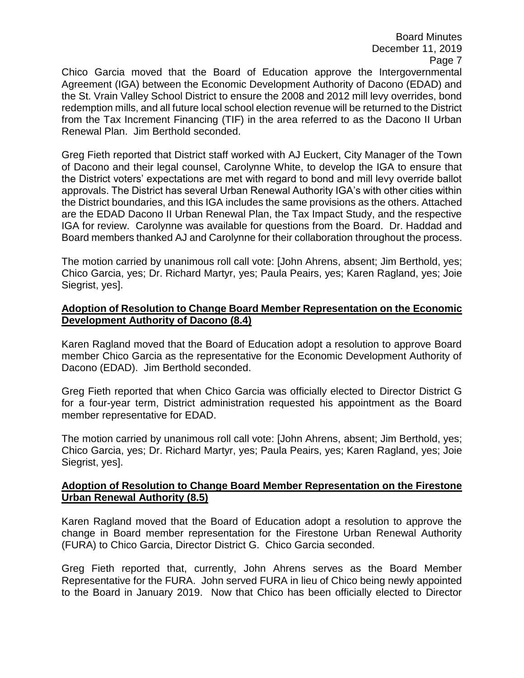Board Minutes December 11, 2019 Page 7

Chico Garcia moved that the Board of Education approve the Intergovernmental Agreement (IGA) between the Economic Development Authority of Dacono (EDAD) and the St. Vrain Valley School District to ensure the 2008 and 2012 mill levy overrides, bond redemption mills, and all future local school election revenue will be returned to the District from the Tax Increment Financing (TIF) in the area referred to as the Dacono II Urban Renewal Plan. Jim Berthold seconded.

Greg Fieth reported that District staff worked with AJ Euckert, City Manager of the Town of Dacono and their legal counsel, Carolynne White, to develop the IGA to ensure that the District voters' expectations are met with regard to bond and mill levy override ballot approvals. The District has several Urban Renewal Authority IGA's with other cities within the District boundaries, and this IGA includes the same provisions as the others. Attached are the EDAD Dacono II Urban Renewal Plan, the Tax Impact Study, and the respective IGA for review. Carolynne was available for questions from the Board. Dr. Haddad and Board members thanked AJ and Carolynne for their collaboration throughout the process.

The motion carried by unanimous roll call vote: [John Ahrens, absent; Jim Berthold, yes; Chico Garcia, yes; Dr. Richard Martyr, yes; Paula Peairs, yes; Karen Ragland, yes; Joie Siegrist, yes].

## **Adoption of Resolution to Change Board Member Representation on the Economic Development Authority of Dacono (8.4)**

Karen Ragland moved that the Board of Education adopt a resolution to approve Board member Chico Garcia as the representative for the Economic Development Authority of Dacono (EDAD). Jim Berthold seconded.

Greg Fieth reported that when Chico Garcia was officially elected to Director District G for a four-year term, District administration requested his appointment as the Board member representative for EDAD.

The motion carried by unanimous roll call vote: [John Ahrens, absent; Jim Berthold, yes; Chico Garcia, yes; Dr. Richard Martyr, yes; Paula Peairs, yes; Karen Ragland, yes; Joie Siegrist, yes].

## **Adoption of Resolution to Change Board Member Representation on the Firestone Urban Renewal Authority (8.5)**

Karen Ragland moved that the Board of Education adopt a resolution to approve the change in Board member representation for the Firestone Urban Renewal Authority (FURA) to Chico Garcia, Director District G. Chico Garcia seconded.

Greg Fieth reported that, currently, John Ahrens serves as the Board Member Representative for the FURA. John served FURA in lieu of Chico being newly appointed to the Board in January 2019. Now that Chico has been officially elected to Director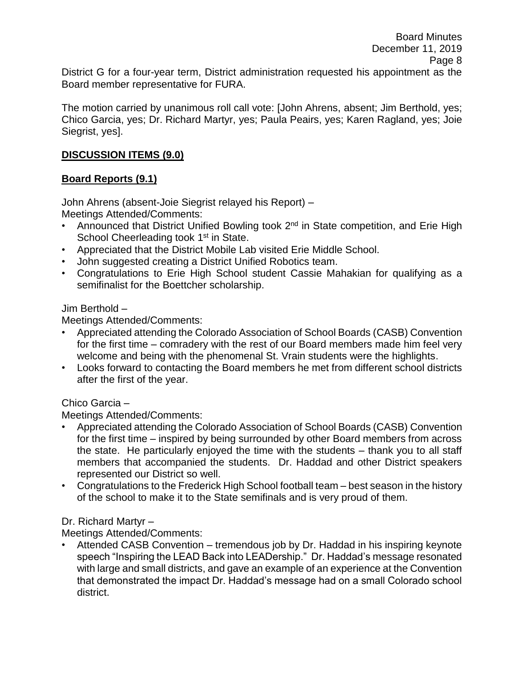District G for a four-year term, District administration requested his appointment as the Board member representative for FURA.

The motion carried by unanimous roll call vote: [John Ahrens, absent; Jim Berthold, yes; Chico Garcia, yes; Dr. Richard Martyr, yes; Paula Peairs, yes; Karen Ragland, yes; Joie Siegrist, yes].

# **DISCUSSION ITEMS (9.0)**

# **Board Reports (9.1)**

John Ahrens (absent-Joie Siegrist relayed his Report) – Meetings Attended/Comments:

- Announced that District Unified Bowling took  $2^{nd}$  in State competition, and Erie High School Cheerleading took 1<sup>st</sup> in State.
- Appreciated that the District Mobile Lab visited Erie Middle School.
- John suggested creating a District Unified Robotics team.
- Congratulations to Erie High School student Cassie Mahakian for qualifying as a semifinalist for the Boettcher scholarship.

Jim Berthold –

Meetings Attended/Comments:

- Appreciated attending the Colorado Association of School Boards (CASB) Convention for the first time – comradery with the rest of our Board members made him feel very welcome and being with the phenomenal St. Vrain students were the highlights.
- Looks forward to contacting the Board members he met from different school districts after the first of the year.

## Chico Garcia –

Meetings Attended/Comments:

- Appreciated attending the Colorado Association of School Boards (CASB) Convention for the first time – inspired by being surrounded by other Board members from across the state. He particularly enjoyed the time with the students – thank you to all staff members that accompanied the students. Dr. Haddad and other District speakers represented our District so well.
- Congratulations to the Frederick High School football team best season in the history of the school to make it to the State semifinals and is very proud of them.

# Dr. Richard Martyr –

Meetings Attended/Comments:

• Attended CASB Convention – tremendous job by Dr. Haddad in his inspiring keynote speech "Inspiring the LEAD Back into LEADership." Dr. Haddad's message resonated with large and small districts, and gave an example of an experience at the Convention that demonstrated the impact Dr. Haddad's message had on a small Colorado school district.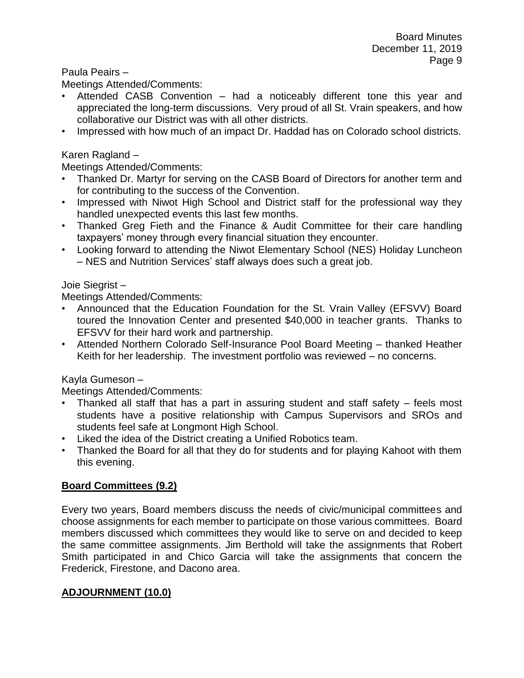Paula Peairs –

Meetings Attended/Comments:

- Attended CASB Convention had a noticeably different tone this year and appreciated the long-term discussions. Very proud of all St. Vrain speakers, and how collaborative our District was with all other districts.
- Impressed with how much of an impact Dr. Haddad has on Colorado school districts.

## Karen Ragland –

Meetings Attended/Comments:

- Thanked Dr. Martyr for serving on the CASB Board of Directors for another term and for contributing to the success of the Convention.
- Impressed with Niwot High School and District staff for the professional way they handled unexpected events this last few months.
- Thanked Greg Fieth and the Finance & Audit Committee for their care handling taxpayers' money through every financial situation they encounter.
- Looking forward to attending the Niwot Elementary School (NES) Holiday Luncheon – NES and Nutrition Services' staff always does such a great job.

### Joie Siegrist –

Meetings Attended/Comments:

- Announced that the Education Foundation for the St. Vrain Valley (EFSVV) Board toured the Innovation Center and presented \$40,000 in teacher grants. Thanks to EFSVV for their hard work and partnership.
- Attended Northern Colorado Self-Insurance Pool Board Meeting thanked Heather Keith for her leadership. The investment portfolio was reviewed – no concerns.

## Kayla Gumeson –

Meetings Attended/Comments:

- Thanked all staff that has a part in assuring student and staff safety feels most students have a positive relationship with Campus Supervisors and SROs and students feel safe at Longmont High School.
- Liked the idea of the District creating a Unified Robotics team.
- Thanked the Board for all that they do for students and for playing Kahoot with them this evening.

## **Board Committees (9.2)**

Every two years, Board members discuss the needs of civic/municipal committees and choose assignments for each member to participate on those various committees. Board members discussed which committees they would like to serve on and decided to keep the same committee assignments. Jim Berthold will take the assignments that Robert Smith participated in and Chico Garcia will take the assignments that concern the Frederick, Firestone, and Dacono area.

## **ADJOURNMENT (10.0)**